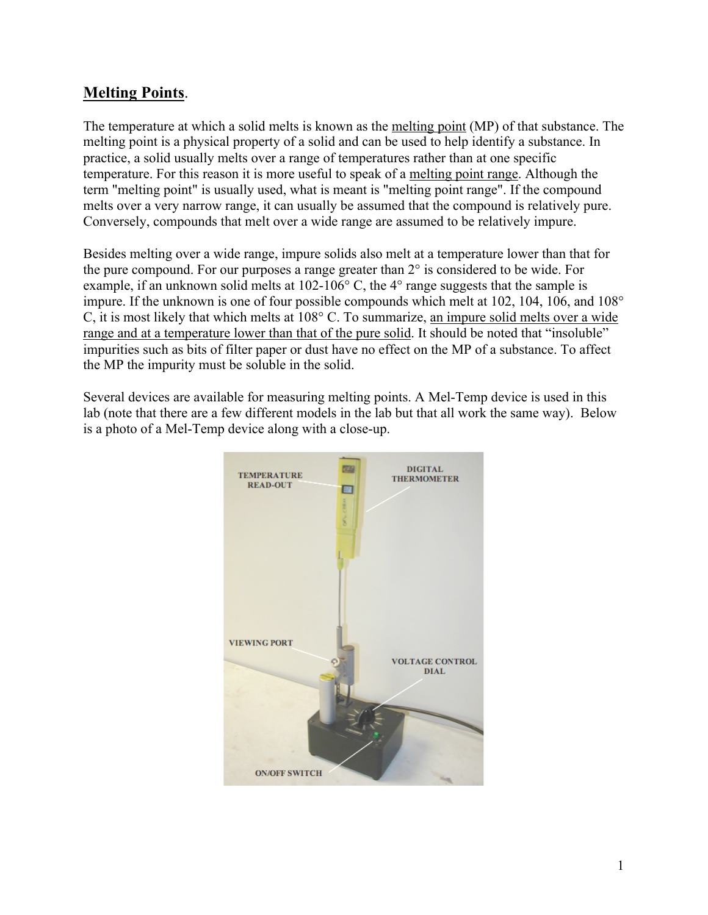# **Melting Points**.

The temperature at which a solid melts is known as the melting point (MP) of that substance. The melting point is a physical property of a solid and can be used to help identify a substance. In practice, a solid usually melts over a range of temperatures rather than at one specific temperature. For this reason it is more useful to speak of a melting point range. Although the term "melting point" is usually used, what is meant is "melting point range". If the compound melts over a very narrow range, it can usually be assumed that the compound is relatively pure. Conversely, compounds that melt over a wide range are assumed to be relatively impure.

Besides melting over a wide range, impure solids also melt at a temperature lower than that for the pure compound. For our purposes a range greater than  $2^\circ$  is considered to be wide. For example, if an unknown solid melts at 102-106° C, the 4° range suggests that the sample is impure. If the unknown is one of four possible compounds which melt at 102, 104, 106, and 108° C, it is most likely that which melts at 108° C. To summarize, an impure solid melts over a wide range and at a temperature lower than that of the pure solid. It should be noted that "insoluble" impurities such as bits of filter paper or dust have no effect on the MP of a substance. To affect the MP the impurity must be soluble in the solid.

Several devices are available for measuring melting points. A Mel-Temp device is used in this lab (note that there are a few different models in the lab but that all work the same way). Below is a photo of a Mel-Temp device along with a close-up.

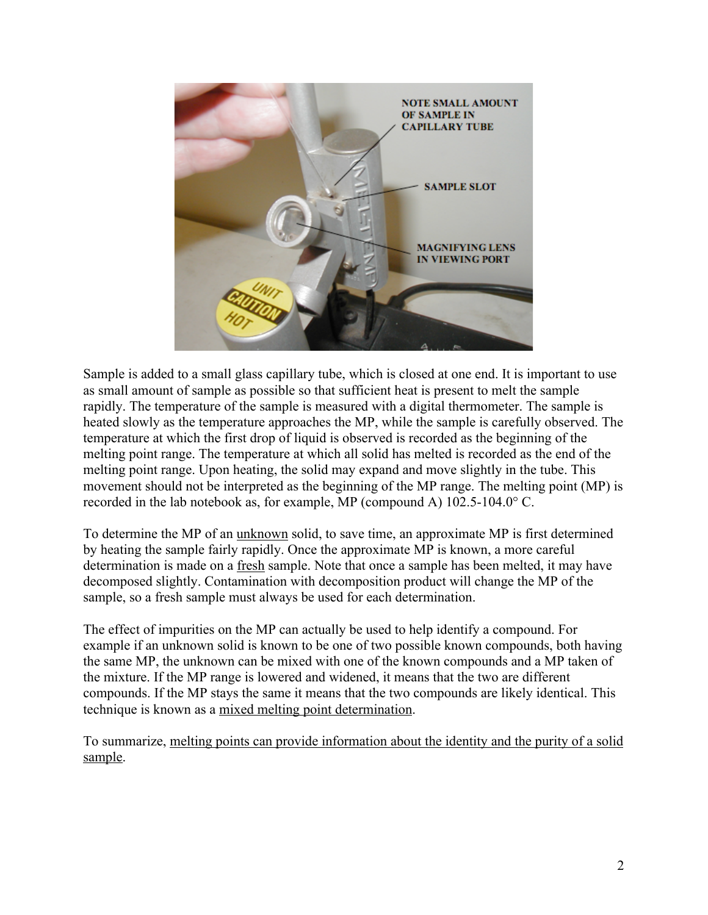

Sample is added to a small glass capillary tube, which is closed at one end. It is important to use as small amount of sample as possible so that sufficient heat is present to melt the sample rapidly. The temperature of the sample is measured with a digital thermometer. The sample is heated slowly as the temperature approaches the MP, while the sample is carefully observed. The temperature at which the first drop of liquid is observed is recorded as the beginning of the melting point range. The temperature at which all solid has melted is recorded as the end of the melting point range. Upon heating, the solid may expand and move slightly in the tube. This movement should not be interpreted as the beginning of the MP range. The melting point (MP) is recorded in the lab notebook as, for example, MP (compound A) 102.5-104.0° C.

To determine the MP of an unknown solid, to save time, an approximate MP is first determined by heating the sample fairly rapidly. Once the approximate MP is known, a more careful determination is made on a fresh sample. Note that once a sample has been melted, it may have decomposed slightly. Contamination with decomposition product will change the MP of the sample, so a fresh sample must always be used for each determination.

The effect of impurities on the MP can actually be used to help identify a compound. For example if an unknown solid is known to be one of two possible known compounds, both having the same MP, the unknown can be mixed with one of the known compounds and a MP taken of the mixture. If the MP range is lowered and widened, it means that the two are different compounds. If the MP stays the same it means that the two compounds are likely identical. This technique is known as a mixed melting point determination.

To summarize, melting points can provide information about the identity and the purity of a solid sample.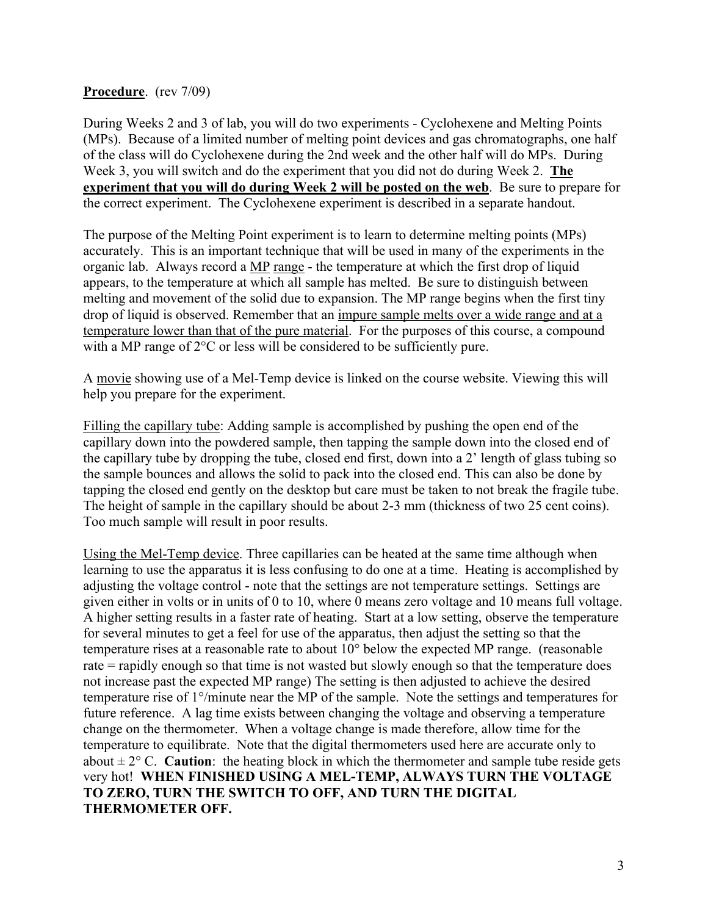### **Procedure**. (rev 7/09)

During Weeks 2 and 3 of lab, you will do two experiments - Cyclohexene and Melting Points (MPs). Because of a limited number of melting point devices and gas chromatographs, one half of the class will do Cyclohexene during the 2nd week and the other half will do MPs. During Week 3, you will switch and do the experiment that you did not do during Week 2. **The experiment that you will do during Week 2 will be posted on the web**. Be sure to prepare for the correct experiment. The Cyclohexene experiment is described in a separate handout.

The purpose of the Melting Point experiment is to learn to determine melting points (MPs) accurately. This is an important technique that will be used in many of the experiments in the organic lab. Always record a MP range - the temperature at which the first drop of liquid appears, to the temperature at which all sample has melted. Be sure to distinguish between melting and movement of the solid due to expansion. The MP range begins when the first tiny drop of liquid is observed. Remember that an impure sample melts over a wide range and at a temperature lower than that of the pure material. For the purposes of this course, a compound with a MP range of  $2^{\circ}$ C or less will be considered to be sufficiently pure.

A movie showing use of a Mel-Temp device is linked on the course website. Viewing this will help you prepare for the experiment.

Filling the capillary tube: Adding sample is accomplished by pushing the open end of the capillary down into the powdered sample, then tapping the sample down into the closed end of the capillary tube by dropping the tube, closed end first, down into a 2' length of glass tubing so the sample bounces and allows the solid to pack into the closed end. This can also be done by tapping the closed end gently on the desktop but care must be taken to not break the fragile tube. The height of sample in the capillary should be about 2-3 mm (thickness of two 25 cent coins). Too much sample will result in poor results.

Using the Mel-Temp device. Three capillaries can be heated at the same time although when learning to use the apparatus it is less confusing to do one at a time. Heating is accomplished by adjusting the voltage control - note that the settings are not temperature settings. Settings are given either in volts or in units of 0 to 10, where 0 means zero voltage and 10 means full voltage. A higher setting results in a faster rate of heating. Start at a low setting, observe the temperature for several minutes to get a feel for use of the apparatus, then adjust the setting so that the temperature rises at a reasonable rate to about 10° below the expected MP range. (reasonable rate = rapidly enough so that time is not wasted but slowly enough so that the temperature does not increase past the expected MP range) The setting is then adjusted to achieve the desired temperature rise of 1°/minute near the MP of the sample. Note the settings and temperatures for future reference. A lag time exists between changing the voltage and observing a temperature change on the thermometer. When a voltage change is made therefore, allow time for the temperature to equilibrate. Note that the digital thermometers used here are accurate only to about  $\pm 2^{\circ}$  C. **Caution**: the heating block in which the thermometer and sample tube reside gets very hot! **WHEN FINISHED USING A MEL-TEMP, ALWAYS TURN THE VOLTAGE TO ZERO, TURN THE SWITCH TO OFF, AND TURN THE DIGITAL THERMOMETER OFF.**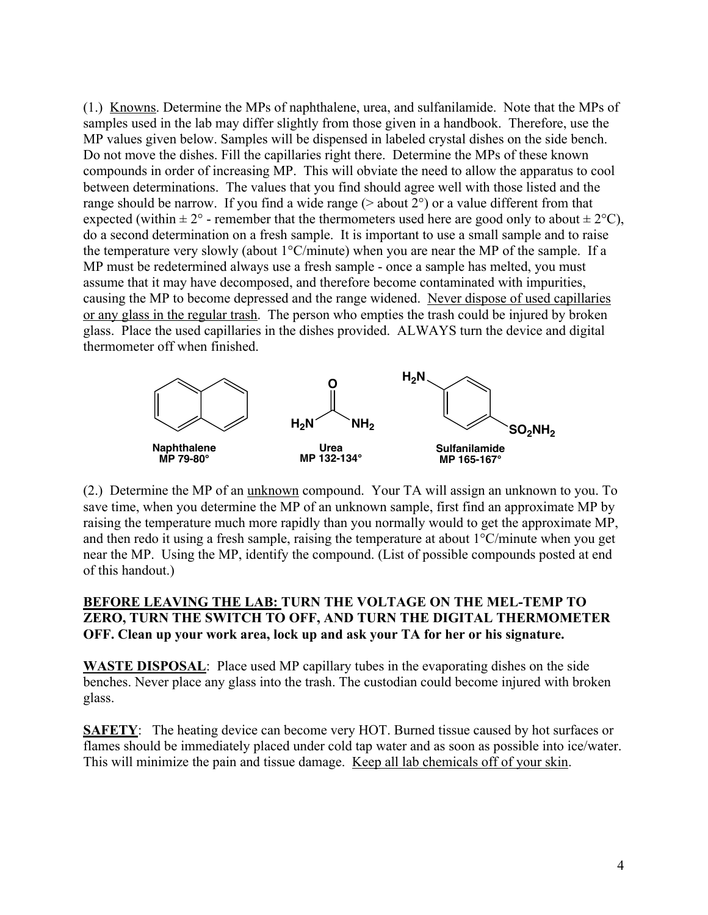(1.) Knowns. Determine the MPs of naphthalene, urea, and sulfanilamide. Note that the MPs of samples used in the lab may differ slightly from those given in a handbook. Therefore, use the MP values given below. Samples will be dispensed in labeled crystal dishes on the side bench. Do not move the dishes. Fill the capillaries right there. Determine the MPs of these known compounds in order of increasing MP. This will obviate the need to allow the apparatus to cool between determinations. The values that you find should agree well with those listed and the range should be narrow. If you find a wide range  $($  > about  $2^{\circ})$  or a value different from that expected (within  $\pm 2^{\circ}$  - remember that the thermometers used here are good only to about  $\pm 2^{\circ}$ C), do a second determination on a fresh sample. It is important to use a small sample and to raise the temperature very slowly (about 1°C/minute) when you are near the MP of the sample. If a MP must be redetermined always use a fresh sample - once a sample has melted, you must assume that it may have decomposed, and therefore become contaminated with impurities, causing the MP to become depressed and the range widened. Never dispose of used capillaries or any glass in the regular trash. The person who empties the trash could be injured by broken glass. Place the used capillaries in the dishes provided. ALWAYS turn the device and digital thermometer off when finished.



(2.) Determine the MP of an unknown compound. Your TA will assign an unknown to you. To save time, when you determine the MP of an unknown sample, first find an approximate MP by raising the temperature much more rapidly than you normally would to get the approximate MP, and then redo it using a fresh sample, raising the temperature at about 1°C/minute when you get near the MP. Using the MP, identify the compound. (List of possible compounds posted at end of this handout.)

## **BEFORE LEAVING THE LAB: TURN THE VOLTAGE ON THE MEL-TEMP TO ZERO, TURN THE SWITCH TO OFF, AND TURN THE DIGITAL THERMOMETER OFF. Clean up your work area, lock up and ask your TA for her or his signature.**

**WASTE DISPOSAL**: Place used MP capillary tubes in the evaporating dishes on the side benches. Never place any glass into the trash. The custodian could become injured with broken glass.

**SAFETY**: The heating device can become very HOT. Burned tissue caused by hot surfaces or flames should be immediately placed under cold tap water and as soon as possible into ice/water. This will minimize the pain and tissue damage. Keep all lab chemicals off of your skin.